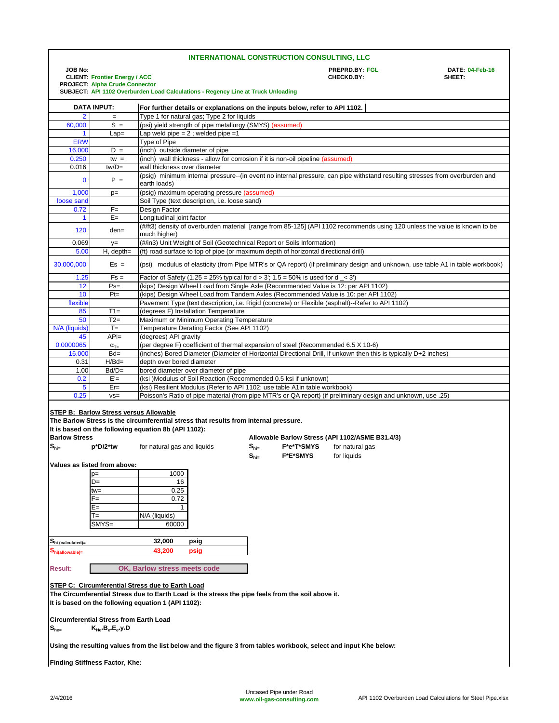| <b>INTERNATIONAL CONSTRUCTION CONSULTING, LLC</b>                                                                                                                                                                   |                                                                                                   |                                                                                                                                                                                                                       |                                                                                                                                                                                                     |                                    |                               |                                                                                                              |                                  |  |
|---------------------------------------------------------------------------------------------------------------------------------------------------------------------------------------------------------------------|---------------------------------------------------------------------------------------------------|-----------------------------------------------------------------------------------------------------------------------------------------------------------------------------------------------------------------------|-----------------------------------------------------------------------------------------------------------------------------------------------------------------------------------------------------|------------------------------------|-------------------------------|--------------------------------------------------------------------------------------------------------------|----------------------------------|--|
| <b>JOB No:</b><br><b>CLIENT: Frontier Energy / ACC</b>                                                                                                                                                              |                                                                                                   |                                                                                                                                                                                                                       |                                                                                                                                                                                                     |                                    |                               | PREPRD.BY: FGL<br>CHECKD.BY:                                                                                 | <b>DATE: 04-Feb-16</b><br>SHEET: |  |
| <b>PROJECT: Alpha Crude Connector</b><br>SUBJECT: API 1102 Overburden Load Calculations - Regency Line at Truck Unloading                                                                                           |                                                                                                   |                                                                                                                                                                                                                       |                                                                                                                                                                                                     |                                    |                               |                                                                                                              |                                  |  |
|                                                                                                                                                                                                                     | <b>DATA INPUT:</b><br>For further details or explanations on the inputs below, refer to API 1102. |                                                                                                                                                                                                                       |                                                                                                                                                                                                     |                                    |                               |                                                                                                              |                                  |  |
| $\overline{2}$                                                                                                                                                                                                      | $\equiv$                                                                                          |                                                                                                                                                                                                                       | Type 1 for natural gas; Type 2 for liquids                                                                                                                                                          |                                    |                               |                                                                                                              |                                  |  |
| 60,000                                                                                                                                                                                                              | $S =$                                                                                             |                                                                                                                                                                                                                       | (psi) yield strength of pipe metallurgy (SMYS) (assumed)                                                                                                                                            |                                    |                               |                                                                                                              |                                  |  |
| $\mathbf{1}$                                                                                                                                                                                                        | $Lap =$                                                                                           |                                                                                                                                                                                                                       | Lap weld pipe = $2$ ; welded pipe = 1                                                                                                                                                               |                                    |                               |                                                                                                              |                                  |  |
| <b>ERW</b><br>16.000                                                                                                                                                                                                | $D =$                                                                                             | Type of Pipe<br>(inch) outside diameter of pipe                                                                                                                                                                       |                                                                                                                                                                                                     |                                    |                               |                                                                                                              |                                  |  |
| 0.250                                                                                                                                                                                                               | $tw =$                                                                                            |                                                                                                                                                                                                                       | (inch) wall thickness - allow for corrosion if it is non-oil pipeline (assumed)                                                                                                                     |                                    |                               |                                                                                                              |                                  |  |
| 0.016                                                                                                                                                                                                               | $tw/D =$                                                                                          | wall thickness over diameter                                                                                                                                                                                          |                                                                                                                                                                                                     |                                    |                               |                                                                                                              |                                  |  |
| $\mathbf 0$                                                                                                                                                                                                         | $P =$                                                                                             | earth loads)                                                                                                                                                                                                          | (psig) minimum internal pressure--(in event no internal pressure, can pipe withstand resulting stresses from overburden and                                                                         |                                    |                               |                                                                                                              |                                  |  |
| 1,000                                                                                                                                                                                                               | $p=$                                                                                              |                                                                                                                                                                                                                       | (psig) maximum operating pressure (assumed)                                                                                                                                                         |                                    |                               |                                                                                                              |                                  |  |
| loose sand                                                                                                                                                                                                          |                                                                                                   |                                                                                                                                                                                                                       | Soil Type (text description, i.e. loose sand)                                                                                                                                                       |                                    |                               |                                                                                                              |                                  |  |
| 0.72                                                                                                                                                                                                                | $F =$                                                                                             | Design Factor                                                                                                                                                                                                         |                                                                                                                                                                                                     |                                    |                               |                                                                                                              |                                  |  |
|                                                                                                                                                                                                                     | $E =$<br>Longitudinal joint factor<br>1                                                           |                                                                                                                                                                                                                       |                                                                                                                                                                                                     |                                    |                               |                                                                                                              |                                  |  |
| 120<br>0.069                                                                                                                                                                                                        | den=                                                                                              | much higher)                                                                                                                                                                                                          | (#/ft3) density of overburden material [range from 85-125] (API 1102 recommends using 120 unless the value is known to be<br>(#/in3) Unit Weight of Soil (Geotechnical Report or Soils Information) |                                    |                               |                                                                                                              |                                  |  |
| 5.00                                                                                                                                                                                                                | $y=$<br>$H$ , depth=                                                                              |                                                                                                                                                                                                                       |                                                                                                                                                                                                     |                                    |                               |                                                                                                              |                                  |  |
| 30,000,000                                                                                                                                                                                                          | $Es =$                                                                                            | (ft) road surface to top of pipe (or maximum depth of horizontal directional drill)<br>(psi) modulus of elasticity (from Pipe MTR's or QA report) (if preliminary design and unknown, use table A1 in table workbook) |                                                                                                                                                                                                     |                                    |                               |                                                                                                              |                                  |  |
| 1.25                                                                                                                                                                                                                | $Fs =$                                                                                            |                                                                                                                                                                                                                       | Factor of Safety (1.25 = 25% typical for $d > 3'$ ; 1.5 = 50% is used for $d < 3'$ )                                                                                                                |                                    |                               |                                                                                                              |                                  |  |
| 12                                                                                                                                                                                                                  | $Ps =$                                                                                            |                                                                                                                                                                                                                       | (kips) Design Wheel Load from Single Axle (Recommended Value is 12: per API 1102)                                                                                                                   |                                    |                               |                                                                                                              |                                  |  |
| 10                                                                                                                                                                                                                  | $Pt =$                                                                                            |                                                                                                                                                                                                                       |                                                                                                                                                                                                     |                                    |                               | (kips) Design Wheel Load from Tandem Axles (Recommended Value is 10: per API 1102)                           |                                  |  |
| flexible                                                                                                                                                                                                            |                                                                                                   |                                                                                                                                                                                                                       | Pavement Type (text description, i.e. Rigid (concrete) or Flexible (asphalt)--Refer to API 1102)                                                                                                    |                                    |                               |                                                                                                              |                                  |  |
| 85                                                                                                                                                                                                                  | $T1 =$                                                                                            | (degrees F) Installation Temperature                                                                                                                                                                                  |                                                                                                                                                                                                     |                                    |                               |                                                                                                              |                                  |  |
| 50<br>N/A (liquids)                                                                                                                                                                                                 | $T2=$<br>$T =$                                                                                    | Maximum or Minimum Operating Temperature<br>Temperature Derating Factor (See API 1102)                                                                                                                                |                                                                                                                                                                                                     |                                    |                               |                                                                                                              |                                  |  |
| 45                                                                                                                                                                                                                  | $API=$                                                                                            | (degrees) API gravity                                                                                                                                                                                                 |                                                                                                                                                                                                     |                                    |                               |                                                                                                              |                                  |  |
| 0.0000065                                                                                                                                                                                                           | $\alpha_{T=}$                                                                                     |                                                                                                                                                                                                                       | (per degree F) coefficient of thermal expansion of steel (Recommended 6.5 X 10-6)                                                                                                                   |                                    |                               |                                                                                                              |                                  |  |
| 16.000                                                                                                                                                                                                              | $Bd=$                                                                                             |                                                                                                                                                                                                                       | (inches) Bored Diameter (Diameter of Horizontal Directional Drill, If unkown then this is typically D+2 inches)                                                                                     |                                    |                               |                                                                                                              |                                  |  |
| 0.31                                                                                                                                                                                                                | $H/Bd=$                                                                                           | depth over bored diameter                                                                                                                                                                                             |                                                                                                                                                                                                     |                                    |                               |                                                                                                              |                                  |  |
| 1.00                                                                                                                                                                                                                | $Bd/D=$                                                                                           | bored diameter over diameter of pipe<br>(ksi )Modulus of Soil Reaction (Recommended 0.5 ksi if unknown)                                                                                                               |                                                                                                                                                                                                     |                                    |                               |                                                                                                              |                                  |  |
| 0.2                                                                                                                                                                                                                 | $E =$<br>$Er =$                                                                                   |                                                                                                                                                                                                                       | (ksi) Resilient Modulus (Refer to API 1102; use table A1in table workbook)                                                                                                                          |                                    |                               |                                                                                                              |                                  |  |
| 5<br>0.25                                                                                                                                                                                                           | $VS =$                                                                                            |                                                                                                                                                                                                                       |                                                                                                                                                                                                     |                                    |                               | Poisson's Ratio of pipe material (from pipe MTR's or QA report) (if preliminary design and unknown, use .25) |                                  |  |
|                                                                                                                                                                                                                     |                                                                                                   |                                                                                                                                                                                                                       |                                                                                                                                                                                                     |                                    |                               |                                                                                                              |                                  |  |
|                                                                                                                                                                                                                     | STEP B: Barlow Stress versus Allowable                                                            |                                                                                                                                                                                                                       |                                                                                                                                                                                                     |                                    |                               |                                                                                                              |                                  |  |
|                                                                                                                                                                                                                     |                                                                                                   |                                                                                                                                                                                                                       | The Barlow Stress is the circumferential stress that results from internal pressure.                                                                                                                |                                    |                               |                                                                                                              |                                  |  |
|                                                                                                                                                                                                                     |                                                                                                   | It is based on the following equation 8b (API 1102):                                                                                                                                                                  |                                                                                                                                                                                                     |                                    |                               |                                                                                                              |                                  |  |
| <b>Barlow Stress</b>                                                                                                                                                                                                |                                                                                                   | for natural gas and liquids                                                                                                                                                                                           |                                                                                                                                                                                                     |                                    |                               | Allowable Barlow Stress (API 1102/ASME B31.4/3)                                                              |                                  |  |
| $S_{hi}$                                                                                                                                                                                                            | p*D/2*tw                                                                                          |                                                                                                                                                                                                                       |                                                                                                                                                                                                     | $S_{hi=}$                          | F*e*T*SMYS<br><b>F*E*SMYS</b> | for natural gas<br>for liquids                                                                               |                                  |  |
|                                                                                                                                                                                                                     | Values as listed from above:                                                                      |                                                                                                                                                                                                                       |                                                                                                                                                                                                     | $\mathbf{S}_{\mathsf{hi}\text{=}}$ |                               |                                                                                                              |                                  |  |
|                                                                                                                                                                                                                     | $p=$                                                                                              | 1000                                                                                                                                                                                                                  |                                                                                                                                                                                                     |                                    |                               |                                                                                                              |                                  |  |
|                                                                                                                                                                                                                     | D=                                                                                                | 16                                                                                                                                                                                                                    |                                                                                                                                                                                                     |                                    |                               |                                                                                                              |                                  |  |
|                                                                                                                                                                                                                     | tw=                                                                                               | 0.25                                                                                                                                                                                                                  |                                                                                                                                                                                                     |                                    |                               |                                                                                                              |                                  |  |
|                                                                                                                                                                                                                     | F=                                                                                                | 0.72                                                                                                                                                                                                                  |                                                                                                                                                                                                     |                                    |                               |                                                                                                              |                                  |  |
|                                                                                                                                                                                                                     | E=                                                                                                | 1                                                                                                                                                                                                                     |                                                                                                                                                                                                     |                                    |                               |                                                                                                              |                                  |  |
|                                                                                                                                                                                                                     | T=<br>$SMYS=$                                                                                     | N/A (liquids)                                                                                                                                                                                                         |                                                                                                                                                                                                     |                                    |                               |                                                                                                              |                                  |  |
|                                                                                                                                                                                                                     |                                                                                                   | 60000                                                                                                                                                                                                                 |                                                                                                                                                                                                     |                                    |                               |                                                                                                              |                                  |  |
| Shi (calculated)=                                                                                                                                                                                                   |                                                                                                   | 32,000                                                                                                                                                                                                                | psig                                                                                                                                                                                                |                                    |                               |                                                                                                              |                                  |  |
| hi(allowable):                                                                                                                                                                                                      |                                                                                                   | 43,200                                                                                                                                                                                                                | psig                                                                                                                                                                                                |                                    |                               |                                                                                                              |                                  |  |
|                                                                                                                                                                                                                     |                                                                                                   |                                                                                                                                                                                                                       |                                                                                                                                                                                                     |                                    |                               |                                                                                                              |                                  |  |
| OK, Barlow stress meets code<br><b>Result:</b>                                                                                                                                                                      |                                                                                                   |                                                                                                                                                                                                                       |                                                                                                                                                                                                     |                                    |                               |                                                                                                              |                                  |  |
| <b>STEP C: Circumferential Stress due to Earth Load</b><br>The Circumferential Stress due to Earth Load is the stress the pipe feels from the soil above it.<br>It is based on the following equation 1 (API 1102): |                                                                                                   |                                                                                                                                                                                                                       |                                                                                                                                                                                                     |                                    |                               |                                                                                                              |                                  |  |
|                                                                                                                                                                                                                     |                                                                                                   |                                                                                                                                                                                                                       |                                                                                                                                                                                                     |                                    |                               |                                                                                                              |                                  |  |
| <b>Circumferential Stress from Earth Load</b><br>$K_{He^*}B_{e^*}E_{e^*}y_*D$<br>$S_{he}$                                                                                                                           |                                                                                                   |                                                                                                                                                                                                                       |                                                                                                                                                                                                     |                                    |                               |                                                                                                              |                                  |  |
| Using the resulting values from the list below and the figure 3 from tables workbook, select and input Khe below:                                                                                                   |                                                                                                   |                                                                                                                                                                                                                       |                                                                                                                                                                                                     |                                    |                               |                                                                                                              |                                  |  |
| Finding Stiffness Factor, Khe:                                                                                                                                                                                      |                                                                                                   |                                                                                                                                                                                                                       |                                                                                                                                                                                                     |                                    |                               |                                                                                                              |                                  |  |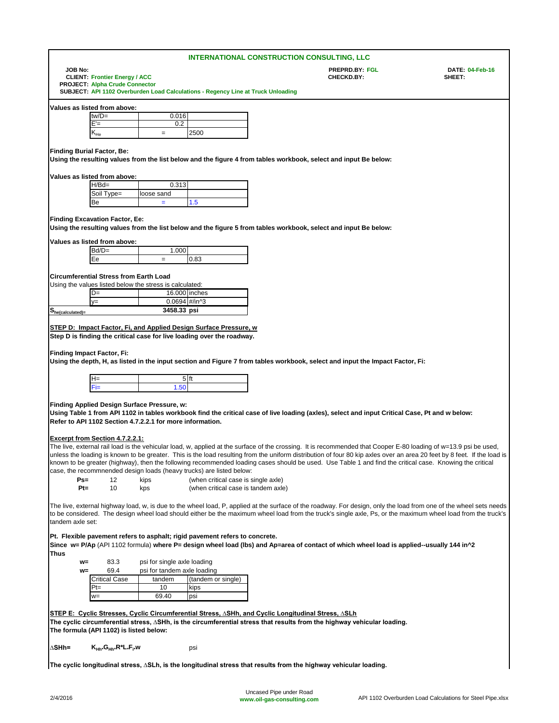|                                                                                                 |                                                                      |                                                                                                          |                                                                                  | <b>INTERNATIONAL CONSTRUCTION CONSULTING, LLC</b>                                                                                                                                                                                                                                                                                           |                                     |                                  |
|-------------------------------------------------------------------------------------------------|----------------------------------------------------------------------|----------------------------------------------------------------------------------------------------------|----------------------------------------------------------------------------------|---------------------------------------------------------------------------------------------------------------------------------------------------------------------------------------------------------------------------------------------------------------------------------------------------------------------------------------------|-------------------------------------|----------------------------------|
| <b>JOB No:</b><br><b>CLIENT: Frontier Energy / ACC</b><br><b>PROJECT: Alpha Crude Connector</b> |                                                                      |                                                                                                          |                                                                                  |                                                                                                                                                                                                                                                                                                                                             | <b>PREPRD.BY: FGL</b><br>CHECKD.BY: | <b>DATE: 04-Feb-16</b><br>SHEET: |
|                                                                                                 |                                                                      |                                                                                                          | SUBJECT: API 1102 Overburden Load Calculations - Regency Line at Truck Unloading |                                                                                                                                                                                                                                                                                                                                             |                                     |                                  |
|                                                                                                 | Values as listed from above:                                         |                                                                                                          |                                                                                  |                                                                                                                                                                                                                                                                                                                                             |                                     |                                  |
|                                                                                                 | $tw/D =$                                                             | 0.016                                                                                                    |                                                                                  |                                                                                                                                                                                                                                                                                                                                             |                                     |                                  |
|                                                                                                 | E'=                                                                  | 0.2                                                                                                      |                                                                                  |                                                                                                                                                                                                                                                                                                                                             |                                     |                                  |
|                                                                                                 | $\mathsf{K}_{\mathsf{He}}$                                           | $=$                                                                                                      | 2500                                                                             |                                                                                                                                                                                                                                                                                                                                             |                                     |                                  |
|                                                                                                 | <b>Finding Burial Factor, Be:</b>                                    |                                                                                                          |                                                                                  |                                                                                                                                                                                                                                                                                                                                             |                                     |                                  |
|                                                                                                 |                                                                      |                                                                                                          |                                                                                  | Using the resulting values from the list below and the figure 4 from tables workbook, select and input Be below:                                                                                                                                                                                                                            |                                     |                                  |
|                                                                                                 |                                                                      |                                                                                                          |                                                                                  |                                                                                                                                                                                                                                                                                                                                             |                                     |                                  |
|                                                                                                 | Values as listed from above:                                         |                                                                                                          |                                                                                  |                                                                                                                                                                                                                                                                                                                                             |                                     |                                  |
|                                                                                                 | $H/Bd=$<br>Soil Type=                                                | 0.313<br>loose sand                                                                                      |                                                                                  |                                                                                                                                                                                                                                                                                                                                             |                                     |                                  |
|                                                                                                 | Be                                                                   | $\equiv$                                                                                                 | 1.5                                                                              |                                                                                                                                                                                                                                                                                                                                             |                                     |                                  |
|                                                                                                 |                                                                      |                                                                                                          |                                                                                  |                                                                                                                                                                                                                                                                                                                                             |                                     |                                  |
|                                                                                                 | <b>Finding Excavation Factor, Ee:</b>                                |                                                                                                          |                                                                                  |                                                                                                                                                                                                                                                                                                                                             |                                     |                                  |
|                                                                                                 |                                                                      |                                                                                                          |                                                                                  | Using the resulting values from the list below and the figure 5 from tables workbook, select and input Be below:                                                                                                                                                                                                                            |                                     |                                  |
|                                                                                                 | Values as listed from above:                                         |                                                                                                          |                                                                                  |                                                                                                                                                                                                                                                                                                                                             |                                     |                                  |
|                                                                                                 | $Bd/D=$                                                              | 1.000                                                                                                    |                                                                                  |                                                                                                                                                                                                                                                                                                                                             |                                     |                                  |
|                                                                                                 | Ee                                                                   | $=$                                                                                                      | 0.83                                                                             |                                                                                                                                                                                                                                                                                                                                             |                                     |                                  |
|                                                                                                 | <b>Circumferential Stress from Earth Load</b>                        |                                                                                                          |                                                                                  |                                                                                                                                                                                                                                                                                                                                             |                                     |                                  |
|                                                                                                 |                                                                      | Using the values listed below the stress is calculated:                                                  |                                                                                  |                                                                                                                                                                                                                                                                                                                                             |                                     |                                  |
|                                                                                                 | $D=$                                                                 | 16.000 inches                                                                                            |                                                                                  |                                                                                                                                                                                                                                                                                                                                             |                                     |                                  |
|                                                                                                 | $y =$                                                                | 0.0694 #/in^3                                                                                            |                                                                                  |                                                                                                                                                                                                                                                                                                                                             |                                     |                                  |
| $S_{he(calculated)=}$                                                                           |                                                                      | 3458.33 psi                                                                                              |                                                                                  |                                                                                                                                                                                                                                                                                                                                             |                                     |                                  |
|                                                                                                 |                                                                      |                                                                                                          | <b>STEP D: Impact Factor, Fi, and Applied Design Surface Pressure, w</b>         |                                                                                                                                                                                                                                                                                                                                             |                                     |                                  |
|                                                                                                 | H=                                                                   | $5$ ft                                                                                                   |                                                                                  | Using the depth, H, as listed in the input section and Figure 7 from tables workbook, select and input the Impact Factor, Fi:                                                                                                                                                                                                               |                                     |                                  |
|                                                                                                 | Fi=                                                                  | 1.50                                                                                                     |                                                                                  |                                                                                                                                                                                                                                                                                                                                             |                                     |                                  |
|                                                                                                 |                                                                      |                                                                                                          |                                                                                  |                                                                                                                                                                                                                                                                                                                                             |                                     |                                  |
|                                                                                                 |                                                                      | Finding Applied Design Surface Pressure, w:<br>Refer to API 1102 Section 4.7.2.2.1 for more information. |                                                                                  | Using Table 1 from API 1102 in tables workbook find the critical case of live loading (axles), select and input Critical Case, Pt and w below:                                                                                                                                                                                              |                                     |                                  |
|                                                                                                 | <b>Excerpt from Section 4.7.2.2.1:</b>                               |                                                                                                          |                                                                                  |                                                                                                                                                                                                                                                                                                                                             |                                     |                                  |
|                                                                                                 |                                                                      |                                                                                                          |                                                                                  | The live, external rail load is the vehicular load, w, applied at the surface of the crossing. It is recommended that Cooper E-80 loading of w=13.9 psi be used,<br>unless the loading is known to be greater. This is the load resulting from the uniform distribution of four 80 kip axles over an area 20 feet by 8 feet. If the load is |                                     |                                  |
|                                                                                                 |                                                                      |                                                                                                          |                                                                                  | known to be greater (highway), then the following recommended loading cases should be used. Use Table 1 and find the critical case. Knowing the critical                                                                                                                                                                                    |                                     |                                  |
|                                                                                                 |                                                                      |                                                                                                          | case, the recommnended design loads (heavy trucks) are listed below:             |                                                                                                                                                                                                                                                                                                                                             |                                     |                                  |
| $Ps =$<br>$Pt =$                                                                                | 12<br>10                                                             | kips                                                                                                     | (when critical case is single axle)<br>(when critical case is tandem axle)       |                                                                                                                                                                                                                                                                                                                                             |                                     |                                  |
|                                                                                                 |                                                                      | kps                                                                                                      |                                                                                  |                                                                                                                                                                                                                                                                                                                                             |                                     |                                  |
| tandem axle set:                                                                                |                                                                      |                                                                                                          |                                                                                  | The live, external highway load, w, is due to the wheel load, P, applied at the surface of the roadway. For design, only the load from one of the wheel sets needs<br>to be considered. The design wheel load should either be the maximum wheel load from the truck's single axle, Ps, or the maximum wheel load from the truck's          |                                     |                                  |
|                                                                                                 |                                                                      |                                                                                                          | Pt. Flexible pavement refers to asphalt; rigid pavement refers to concrete.      |                                                                                                                                                                                                                                                                                                                                             |                                     |                                  |
| Thus                                                                                            |                                                                      |                                                                                                          |                                                                                  | Since w= P/Ap (API 1102 formula) where P= design wheel load (lbs) and Ap=area of contact of which wheel load is applied--usually 144 in^2                                                                                                                                                                                                   |                                     |                                  |
| $w=$                                                                                            | 83.3                                                                 | psi for single axle loading                                                                              |                                                                                  |                                                                                                                                                                                                                                                                                                                                             |                                     |                                  |
| $W =$                                                                                           | 69.4                                                                 | psi for tandem axle loading                                                                              |                                                                                  |                                                                                                                                                                                                                                                                                                                                             |                                     |                                  |
|                                                                                                 | <b>Critical Case</b><br>Pt=                                          | tandem<br>10                                                                                             | (tandem or single)<br>kips                                                       |                                                                                                                                                                                                                                                                                                                                             |                                     |                                  |
|                                                                                                 | $W =$                                                                | 69.40                                                                                                    | psi                                                                              |                                                                                                                                                                                                                                                                                                                                             |                                     |                                  |
|                                                                                                 |                                                                      |                                                                                                          |                                                                                  |                                                                                                                                                                                                                                                                                                                                             |                                     |                                  |
|                                                                                                 |                                                                      |                                                                                                          |                                                                                  | <u>STEP E: Cyclic Stresses, Cyclic Circumferential Stress, ∆SHh, and Cyclic Longitudinal Stress, ∆SLh</u>                                                                                                                                                                                                                                   |                                     |                                  |
|                                                                                                 | The formula (API 1102) is listed below:                              |                                                                                                          |                                                                                  | The cyclic circumferential stress, $\Delta$ SHh, is the circumferential stress that results from the highway vehicular loading.                                                                                                                                                                                                             |                                     |                                  |
| ∆SHh=                                                                                           | K <sub>Hh*</sub> G <sub>Hh*</sub> R*L <sub>*</sub> F <sub>i*</sub> w |                                                                                                          | psi                                                                              |                                                                                                                                                                                                                                                                                                                                             |                                     |                                  |
|                                                                                                 |                                                                      |                                                                                                          |                                                                                  | The cyclic longitudinal stress, ∆SLh, is the longitudinal stress that results from the highway vehicular loading.                                                                                                                                                                                                                           |                                     |                                  |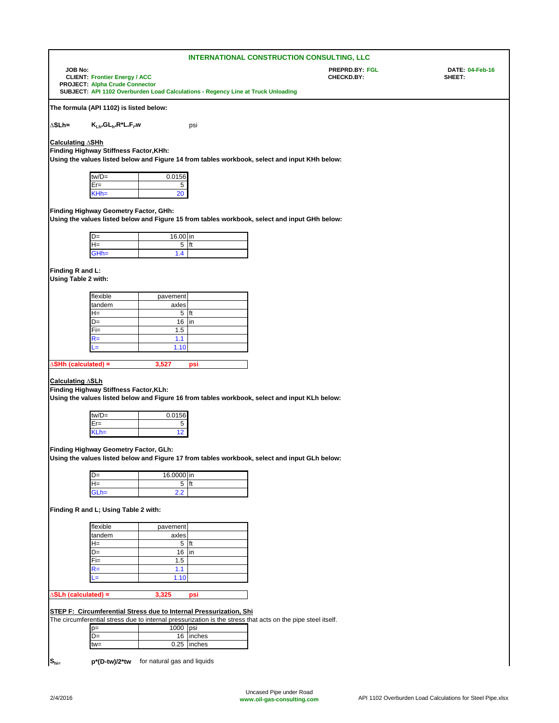|                                                                                                                                        |                                                                                              |                             |                                                                                  | <b>INTERNATIONAL CONSTRUCTION CONSULTING, LLC</b>                                                           |                           |  |  |
|----------------------------------------------------------------------------------------------------------------------------------------|----------------------------------------------------------------------------------------------|-----------------------------|----------------------------------------------------------------------------------|-------------------------------------------------------------------------------------------------------------|---------------------------|--|--|
| <b>JOB No:</b>                                                                                                                         | <b>CLIENT: Frontier Energy / ACC</b><br><b>PROJECT: Alpha Crude Connector</b>                |                             |                                                                                  | PREPRD.BY: FGL<br>CHECKD.BY:                                                                                | DATE: 04-Feb-16<br>SHEET: |  |  |
|                                                                                                                                        |                                                                                              |                             | SUBJECT: API 1102 Overburden Load Calculations - Regency Line at Truck Unloading |                                                                                                             |                           |  |  |
|                                                                                                                                        | The formula (API 1102) is listed below:                                                      |                             |                                                                                  |                                                                                                             |                           |  |  |
| ∆SLh=                                                                                                                                  | K <sub>Lh</sub> <sub>S</sub> GL <sub>h</sub> R <sup>*</sup> L <sub>*</sub> F <sub>i*</sub> w |                             | psi                                                                              |                                                                                                             |                           |  |  |
| Calculating ∆SHh                                                                                                                       |                                                                                              |                             |                                                                                  |                                                                                                             |                           |  |  |
|                                                                                                                                        | Finding Highway Stiffness Factor, KHh:                                                       |                             |                                                                                  |                                                                                                             |                           |  |  |
|                                                                                                                                        |                                                                                              |                             |                                                                                  | Using the values listed below and Figure 14 from tables workbook, select and input KHh below:               |                           |  |  |
|                                                                                                                                        | tw/D=                                                                                        | 0.0156                      |                                                                                  |                                                                                                             |                           |  |  |
|                                                                                                                                        | Er=<br>$KHh=$                                                                                | 5<br>20                     |                                                                                  |                                                                                                             |                           |  |  |
|                                                                                                                                        |                                                                                              |                             |                                                                                  |                                                                                                             |                           |  |  |
|                                                                                                                                        | Finding Highway Geometry Factor, GHh:                                                        |                             |                                                                                  | Using the values listed below and Figure 15 from tables workbook, select and input GHh below:               |                           |  |  |
|                                                                                                                                        |                                                                                              |                             |                                                                                  |                                                                                                             |                           |  |  |
|                                                                                                                                        | $D=$                                                                                         | 16.00 in                    |                                                                                  |                                                                                                             |                           |  |  |
|                                                                                                                                        | $H =$<br>GHh=                                                                                | 5<br>1.4                    | ft                                                                               |                                                                                                             |                           |  |  |
|                                                                                                                                        |                                                                                              |                             |                                                                                  |                                                                                                             |                           |  |  |
| Finding R and L:<br>Using Table 2 with:                                                                                                |                                                                                              |                             |                                                                                  |                                                                                                             |                           |  |  |
|                                                                                                                                        | flexible                                                                                     |                             |                                                                                  |                                                                                                             |                           |  |  |
|                                                                                                                                        | tandem                                                                                       | pavement<br>axles           |                                                                                  |                                                                                                             |                           |  |  |
|                                                                                                                                        | H=                                                                                           | $5$ ft                      |                                                                                  |                                                                                                             |                           |  |  |
|                                                                                                                                        | D=                                                                                           | 16                          | in                                                                               |                                                                                                             |                           |  |  |
|                                                                                                                                        | Fi=<br>$R =$                                                                                 | 1.5<br>1.1                  |                                                                                  |                                                                                                             |                           |  |  |
|                                                                                                                                        | J=                                                                                           | 1.10                        |                                                                                  |                                                                                                             |                           |  |  |
|                                                                                                                                        |                                                                                              |                             |                                                                                  |                                                                                                             |                           |  |  |
| ∆SHh (calculated) =                                                                                                                    |                                                                                              | 3,527                       | psi                                                                              |                                                                                                             |                           |  |  |
| Calculating ∆SLh                                                                                                                       | Finding Highway Stiffness Factor, KLh:                                                       |                             |                                                                                  | Using the values listed below and Figure 16 from tables workbook, select and input KLh below:               |                           |  |  |
|                                                                                                                                        | $tw/D =$                                                                                     | 0.0156                      |                                                                                  |                                                                                                             |                           |  |  |
|                                                                                                                                        | $Er =$                                                                                       | 5                           |                                                                                  |                                                                                                             |                           |  |  |
|                                                                                                                                        | $KLh =$                                                                                      | 12                          |                                                                                  |                                                                                                             |                           |  |  |
| Finding Highway Geometry Factor, GLh:<br>Using the values listed below and Figure 17 from tables workbook, select and input GLh below: |                                                                                              |                             |                                                                                  |                                                                                                             |                           |  |  |
|                                                                                                                                        | D=                                                                                           | 16.0000 in                  |                                                                                  |                                                                                                             |                           |  |  |
|                                                                                                                                        | $H=$<br>$GLh =$                                                                              | $5$ ft<br>2.2               |                                                                                  |                                                                                                             |                           |  |  |
|                                                                                                                                        | Finding R and L; Using Table 2 with:                                                         |                             |                                                                                  |                                                                                                             |                           |  |  |
|                                                                                                                                        |                                                                                              |                             |                                                                                  |                                                                                                             |                           |  |  |
|                                                                                                                                        | flexible<br>tandem                                                                           | pavement<br>axles           |                                                                                  |                                                                                                             |                           |  |  |
|                                                                                                                                        | H=                                                                                           | $5$ ft                      |                                                                                  |                                                                                                             |                           |  |  |
|                                                                                                                                        | D=                                                                                           | 16                          | in                                                                               |                                                                                                             |                           |  |  |
|                                                                                                                                        | $Fi=$<br>$R =$                                                                               | 1.5<br>1.1                  |                                                                                  |                                                                                                             |                           |  |  |
|                                                                                                                                        | L=                                                                                           | 1.10                        |                                                                                  |                                                                                                             |                           |  |  |
|                                                                                                                                        |                                                                                              |                             |                                                                                  |                                                                                                             |                           |  |  |
| $\Delta$ SLh (calculated) =                                                                                                            |                                                                                              | 3,325                       | psi                                                                              |                                                                                                             |                           |  |  |
| STEP F: Circumferential Stress due to Internal Pressurization, Shi                                                                     |                                                                                              |                             |                                                                                  |                                                                                                             |                           |  |  |
|                                                                                                                                        |                                                                                              |                             |                                                                                  | The circumferential stress due to internal pressurization is the stress that acts on the pipe steel itself. |                           |  |  |
|                                                                                                                                        | $p=$<br>D=                                                                                   | 1000 psi                    | 16 inches                                                                        |                                                                                                             |                           |  |  |
|                                                                                                                                        | tw=                                                                                          |                             | 0.25 inches                                                                      |                                                                                                             |                           |  |  |
|                                                                                                                                        |                                                                                              |                             |                                                                                  |                                                                                                             |                           |  |  |
| $\mathbf{S}_{\text{hi}=}$                                                                                                              | p*(D-tw)/2*tw                                                                                | for natural gas and liquids |                                                                                  |                                                                                                             |                           |  |  |